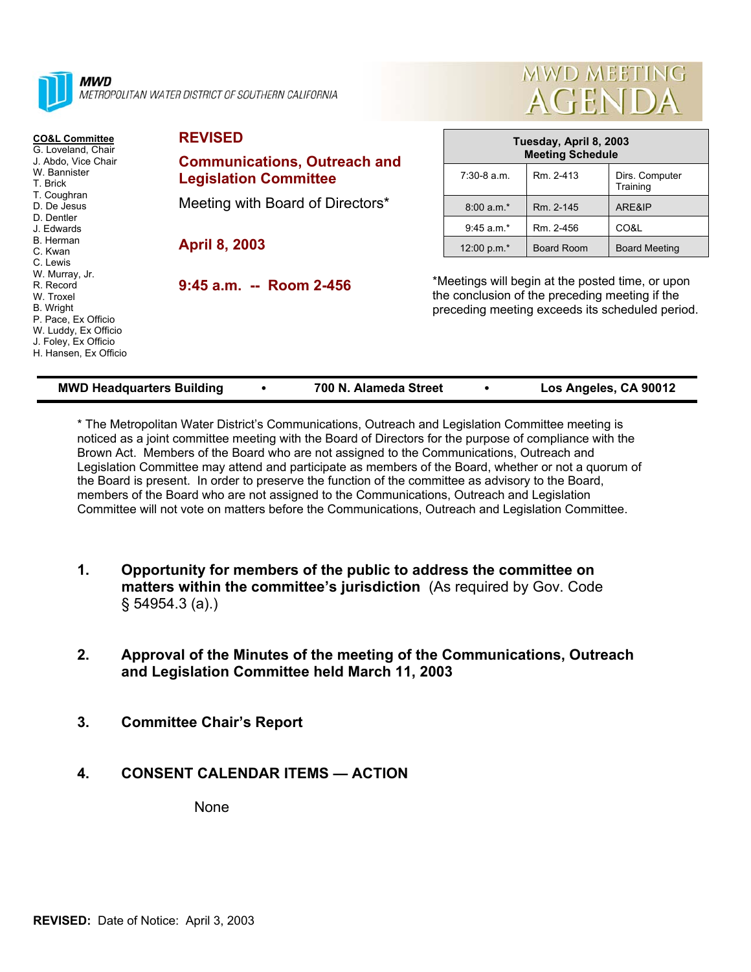

METROPOLITAN WATER DISTRICT OF SOUTHERN CALIFORNIA

| <b>CO&amp;L Committee</b><br>G. Loveland, Chair<br>J. Abdo, Vice Chair<br>W. Bannister<br>T. Brick<br>T. Coughran<br>D. De Jesus<br>D. Dentler<br>J. Edwards<br>B. Herman<br>C. Kwan<br>C. Lewis<br>W. Murray, Jr.<br>R. Record<br>W. Troxel<br>B. Wright<br>P. Pace, Ex Officio<br>W. Luddy, Ex Officio<br>J. Foley, Ex Officio<br>H. Hansen, Ex Officio | <b>REVISED</b>                                                      | Tuesday, April 8, 2003<br><b>Meeting Schedule</b>                                                                                                     |            |                            |
|-----------------------------------------------------------------------------------------------------------------------------------------------------------------------------------------------------------------------------------------------------------------------------------------------------------------------------------------------------------|---------------------------------------------------------------------|-------------------------------------------------------------------------------------------------------------------------------------------------------|------------|----------------------------|
|                                                                                                                                                                                                                                                                                                                                                           | <b>Communications, Outreach and</b><br><b>Legislation Committee</b> | $7:30-8$ a.m.                                                                                                                                         | Rm. 2-413  | Dirs. Computer<br>Training |
|                                                                                                                                                                                                                                                                                                                                                           | Meeting with Board of Directors*<br><b>April 8, 2003</b>            | $8:00 a.m.*$                                                                                                                                          | Rm. 2-145  | ARE&IP                     |
|                                                                                                                                                                                                                                                                                                                                                           |                                                                     | $9:45$ a.m.*                                                                                                                                          | Rm. 2-456  | CO&L                       |
|                                                                                                                                                                                                                                                                                                                                                           |                                                                     | 12:00 p.m.*                                                                                                                                           | Board Room | <b>Board Meeting</b>       |
|                                                                                                                                                                                                                                                                                                                                                           | 9:45 a.m. -- Room 2-456                                             | *Meetings will begin at the posted time, or upon<br>the conclusion of the preceding meeting if the<br>preceding meeting exceeds its scheduled period. |            |                            |

\* The Metropolitan Water District's Communications, Outreach and Legislation Committee meeting is noticed as a joint committee meeting with the Board of Directors for the purpose of compliance with the Brown Act. Members of the Board who are not assigned to the Communications, Outreach and Legislation Committee may attend and participate as members of the Board, whether or not a quorum of the Board is present. In order to preserve the function of the committee as advisory to the Board, members of the Board who are not assigned to the Communications, Outreach and Legislation Committee will not vote on matters before the Communications, Outreach and Legislation Committee.

- **1. Opportunity for members of the public to address the committee on matters within the committee's jurisdiction** (As required by Gov. Code § 54954.3 (a).)
- **2. Approval of the Minutes of the meeting of the Communications, Outreach and Legislation Committee held March 11, 2003**
- **3. Committee Chair's Report**

#### **4. CONSENT CALENDAR ITEMS — ACTION**

None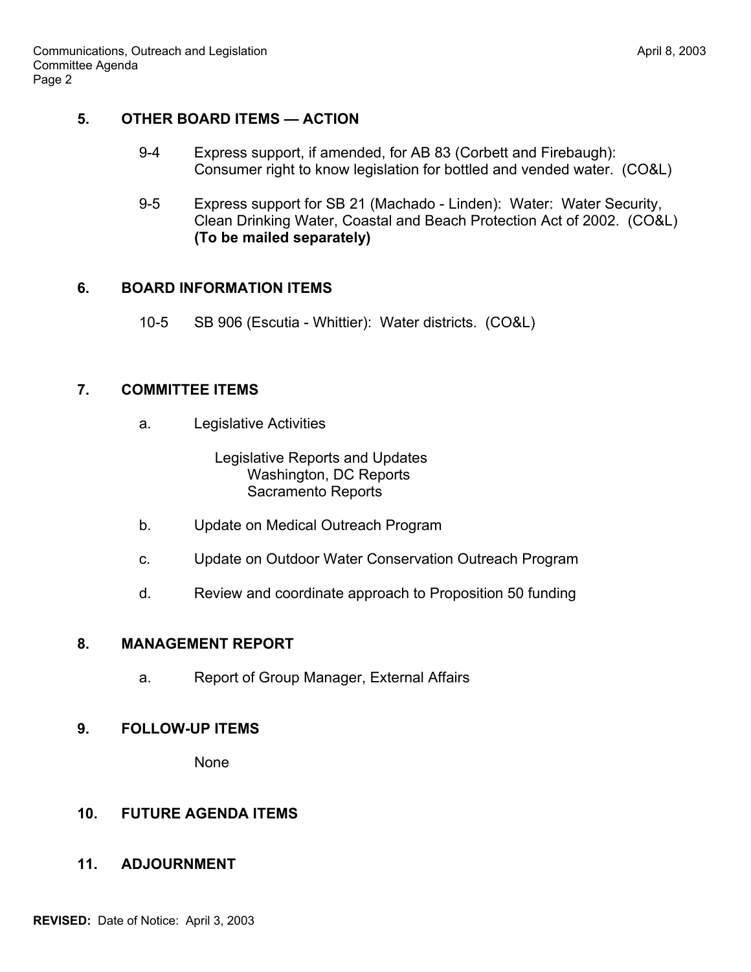# **5. OTHER BOARD ITEMS — ACTION**

- 9-4 Express support, if amended, for AB 83 (Corbett and Firebaugh): Consumer right to know legislation for bottled and vended water. (CO&L)
- 9-5 Express support for SB 21 (Machado Linden): Water: Water Security, Clean Drinking Water, Coastal and Beach Protection Act of 2002. (CO&L) **(To be mailed separately)**

#### **6. BOARD INFORMATION ITEMS**

10-5 SB 906 (Escutia - Whittier): Water districts. (CO&L)

### **7. COMMITTEE ITEMS**

a. Legislative Activities

 Legislative Reports and Updates Washington, DC Reports Sacramento Reports

- b. Update on Medical Outreach Program
- c. Update on Outdoor Water Conservation Outreach Program
- d. Review and coordinate approach to Proposition 50 funding

#### **8. MANAGEMENT REPORT**

a. Report of Group Manager, External Affairs

#### **9. FOLLOW-UP ITEMS**

None

# **10. FUTURE AGENDA ITEMS**

# **11. ADJOURNMENT**